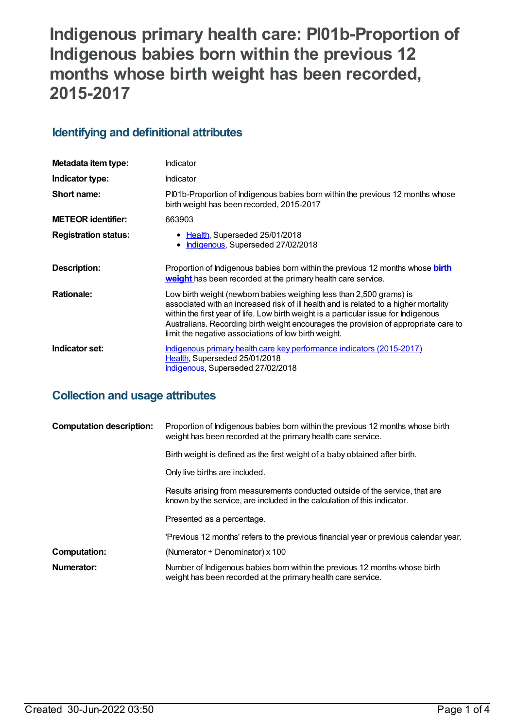# **Indigenous primary health care: PI01b-Proportion of Indigenous babies born within the previous 12 months whose birth weight has been recorded, 2015-2017**

## **Identifying and definitional attributes**

| Metadata item type:         | Indicator                                                                                                                                                                                                                                                                                                                                                                                          |
|-----------------------------|----------------------------------------------------------------------------------------------------------------------------------------------------------------------------------------------------------------------------------------------------------------------------------------------------------------------------------------------------------------------------------------------------|
| Indicator type:             | Indicator                                                                                                                                                                                                                                                                                                                                                                                          |
| Short name:                 | Pl01b-Proportion of Indigenous babies born within the previous 12 months whose<br>birth weight has been recorded, 2015-2017                                                                                                                                                                                                                                                                        |
| <b>METEOR identifier:</b>   | 663903                                                                                                                                                                                                                                                                                                                                                                                             |
| <b>Registration status:</b> | • Health, Superseded 25/01/2018<br>Indigenous, Superseded 27/02/2018                                                                                                                                                                                                                                                                                                                               |
| Description:                | Proportion of Indigenous babies born within the previous 12 months whose <b>birth</b><br>weight has been recorded at the primary health care service.                                                                                                                                                                                                                                              |
| <b>Rationale:</b>           | Low birth weight (newborn babies weighing less than 2,500 grams) is<br>associated with an increased risk of ill health and is related to a higher mortality<br>within the first year of life. Low birth weight is a particular issue for Indigenous<br>Australians. Recording birth weight encourages the provision of appropriate care to<br>limit the negative associations of low birth weight. |
| Indicator set:              | Indigenous primary health care key performance indicators (2015-2017)<br>Health, Superseded 25/01/2018<br>Indigenous, Superseded 27/02/2018                                                                                                                                                                                                                                                        |

## **Collection and usage attributes**

| <b>Computation description:</b> | Proportion of Indigenous babies born within the previous 12 months whose birth<br>weight has been recorded at the primary health care service.           |
|---------------------------------|----------------------------------------------------------------------------------------------------------------------------------------------------------|
|                                 | Birth weight is defined as the first weight of a baby obtained after birth.                                                                              |
|                                 | Only live births are included.                                                                                                                           |
|                                 | Results arising from measurements conducted outside of the service, that are<br>known by the service, are included in the calculation of this indicator. |
|                                 | Presented as a percentage.                                                                                                                               |
|                                 | 'Previous 12 months' refers to the previous financial year or previous calendar year.                                                                    |
| <b>Computation:</b>             | (Numerator $\div$ Denominator) x 100                                                                                                                     |
| Numerator:                      | Number of Indigenous babies born within the previous 12 months whose birth<br>weight has been recorded at the primary health care service.               |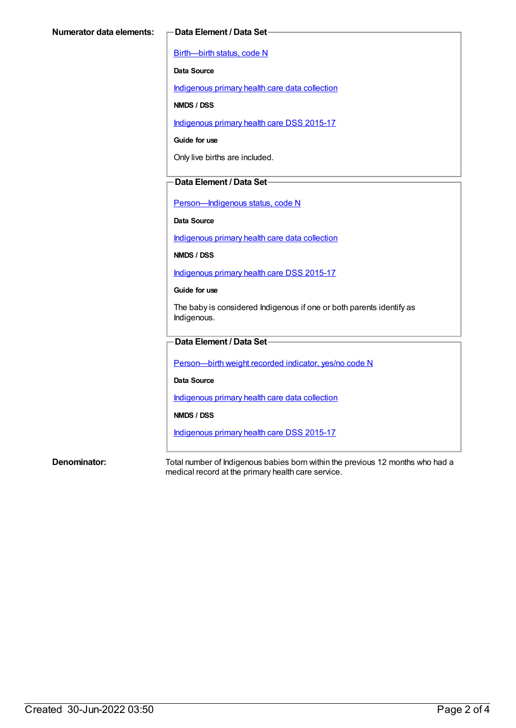[Birth—birth](https://meteor.aihw.gov.au/content/269949) status, code N

**Data Source**

[Indigenous](https://meteor.aihw.gov.au/content/430643) primary health care data collection

**NMDS / DSS**

[Indigenous](https://meteor.aihw.gov.au/content/585036) primary health care DSS 2015-17

**Guide for use**

Only live births are included.

#### **Data Element / Data Set**

[Person—Indigenous](https://meteor.aihw.gov.au/content/291036) status, code N

**Data Source**

[Indigenous](https://meteor.aihw.gov.au/content/430643) primary health care data collection

**NMDS / DSS**

[Indigenous](https://meteor.aihw.gov.au/content/585036) primary health care DSS 2015-17

**Guide for use**

The baby is considered Indigenous if one or both parents identify as Indigenous.

#### **Data Element / Data Set**

[Person—birth](https://meteor.aihw.gov.au/content/441701) weight recorded indicator, yes/no code N

**Data Source**

[Indigenous](https://meteor.aihw.gov.au/content/430643) primary health care data collection

**NMDS / DSS**

[Indigenous](https://meteor.aihw.gov.au/content/585036) primary health care DSS 2015-17

**Denominator:** Total number of Indigenous babies born within the previous 12 months who had a medical record at the primary health care service.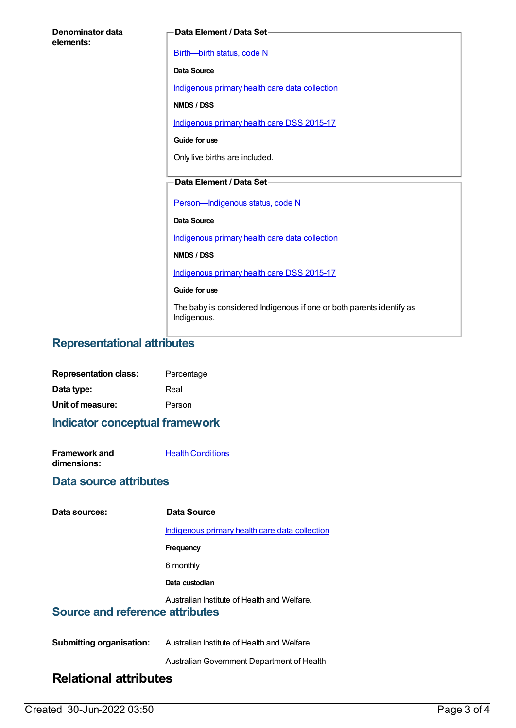| Denominator data<br>elements: | Data Element / Data Set-                                                            |
|-------------------------------|-------------------------------------------------------------------------------------|
|                               | Birth-birth status, code N                                                          |
|                               | <b>Data Source</b>                                                                  |
|                               | Indigenous primary health care data collection                                      |
|                               | NMDS / DSS                                                                          |
|                               | Indigenous primary health care DSS 2015-17                                          |
|                               | Guide for use                                                                       |
|                               | Only live births are included.                                                      |
|                               | Data Element / Data Set-                                                            |
|                               |                                                                                     |
|                               | Person-Indigenous status, code N                                                    |
|                               | <b>Data Source</b>                                                                  |
|                               | Indigenous primary health care data collection                                      |
|                               | NMDS / DSS                                                                          |
|                               | Indigenous primary health care DSS 2015-17                                          |
|                               | Guide for use                                                                       |
|                               | The baby is considered Indigenous if one or both parents identify as<br>Indigenous. |
|                               |                                                                                     |

## **Representational attributes**

| Percentage |
|------------|
| Real       |
| Person     |
|            |

## **Indicator conceptual framework**

**Framework and dimensions:**

**Health [Conditions](https://meteor.aihw.gov.au/content/410650)** 

### **Data source attributes**

| Data sources:                          | Data Source                                    |
|----------------------------------------|------------------------------------------------|
|                                        | Indigenous primary health care data collection |
|                                        | <b>Frequency</b>                               |
|                                        | 6 monthly                                      |
|                                        | Data custodian                                 |
| <b>Source and reference attributes</b> | Australian Institute of Health and Welfare.    |
| <b>Submitting organisation:</b>        | Australian Institute of Health and Welfare     |

AustralianGovernment Department of Health

## **Relational attributes**